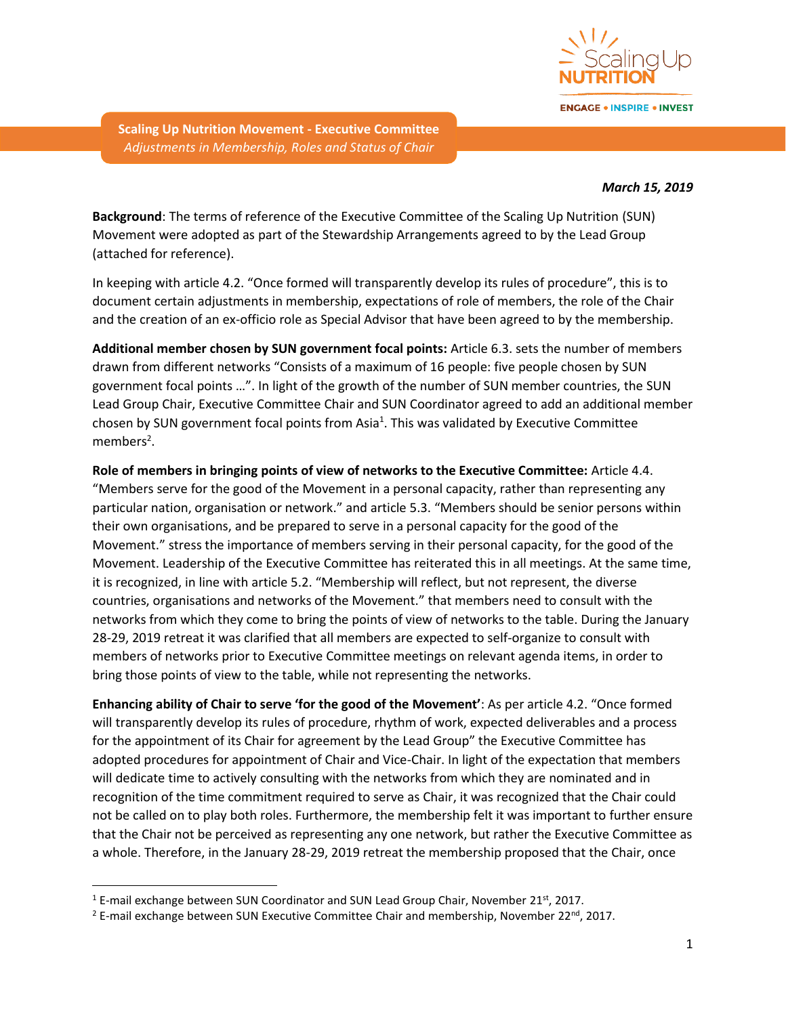

**ENGAGE . INSPIRE . INVEST** 

**Scaling Up Nutrition Movement - Executive Committee** *Adjustments in Membership, Roles and Status of Chair*

#### *March 15, 2019*

**Background**: The terms of reference of the Executive Committee of the Scaling Up Nutrition (SUN) Movement were adopted as part of the Stewardship Arrangements agreed to by the Lead Group (attached for reference).

In keeping with article 4.2. "Once formed will transparently develop its rules of procedure", this is to document certain adjustments in membership, expectations of role of members, the role of the Chair and the creation of an ex-officio role as Special Advisor that have been agreed to by the membership.

**Additional member chosen by SUN government focal points:** Article 6.3. sets the number of members drawn from different networks "Consists of a maximum of 16 people: five people chosen by SUN government focal points …". In light of the growth of the number of SUN member countries, the SUN Lead Group Chair, Executive Committee Chair and SUN Coordinator agreed to add an additional member chosen by SUN government focal points from Asia<sup>1</sup>. This was validated by Executive Committee members<sup>2</sup>.

**Role of members in bringing points of view of networks to the Executive Committee:** Article 4.4. "Members serve for the good of the Movement in a personal capacity, rather than representing any particular nation, organisation or network." and article 5.3. "Members should be senior persons within their own organisations, and be prepared to serve in a personal capacity for the good of the Movement." stress the importance of members serving in their personal capacity, for the good of the Movement. Leadership of the Executive Committee has reiterated this in all meetings. At the same time, it is recognized, in line with article 5.2. "Membership will reflect, but not represent, the diverse countries, organisations and networks of the Movement." that members need to consult with the networks from which they come to bring the points of view of networks to the table. During the January 28-29, 2019 retreat it was clarified that all members are expected to self-organize to consult with members of networks prior to Executive Committee meetings on relevant agenda items, in order to bring those points of view to the table, while not representing the networks.

**Enhancing ability of Chair to serve 'for the good of the Movement'**: As per article 4.2. "Once formed will transparently develop its rules of procedure, rhythm of work, expected deliverables and a process for the appointment of its Chair for agreement by the Lead Group" the Executive Committee has adopted procedures for appointment of Chair and Vice-Chair. In light of the expectation that members will dedicate time to actively consulting with the networks from which they are nominated and in recognition of the time commitment required to serve as Chair, it was recognized that the Chair could not be called on to play both roles. Furthermore, the membership felt it was important to further ensure that the Chair not be perceived as representing any one network, but rather the Executive Committee as a whole. Therefore, in the January 28-29, 2019 retreat the membership proposed that the Chair, once

 $\overline{\phantom{a}}$ 

 $1$  E-mail exchange between SUN Coordinator and SUN Lead Group Chair, November 21st, 2017.

<sup>&</sup>lt;sup>2</sup> E-mail exchange between SUN Executive Committee Chair and membership, November 22<sup>nd</sup>, 2017.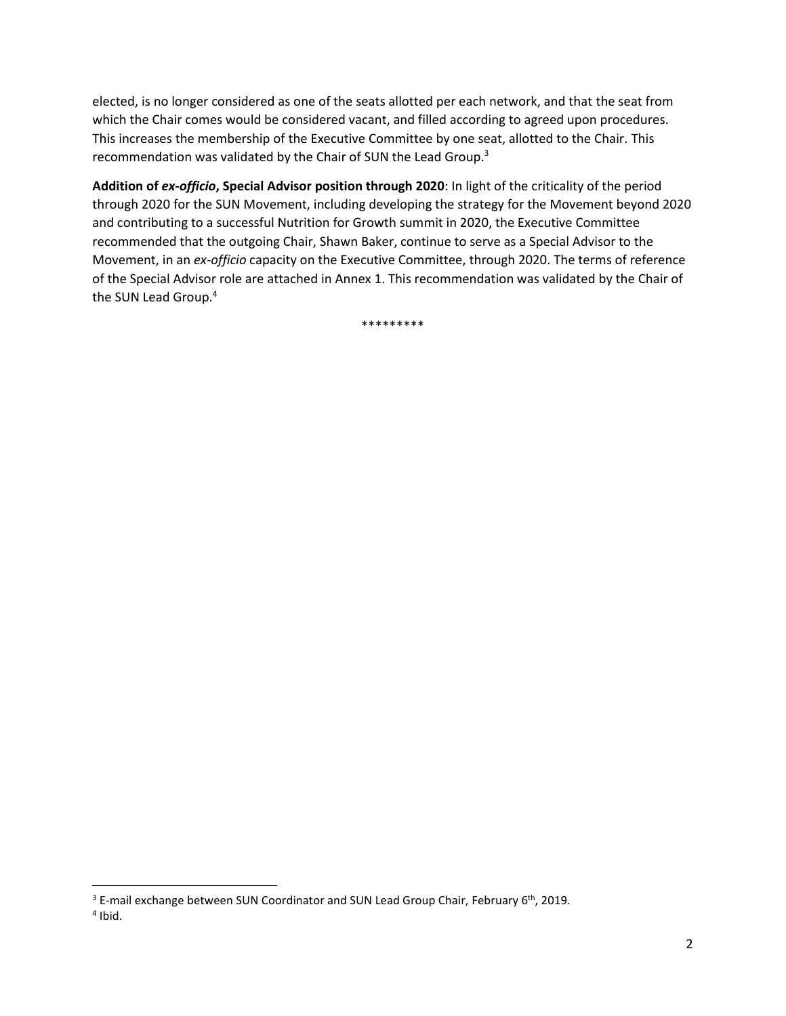elected, is no longer considered as one of the seats allotted per each network, and that the seat from which the Chair comes would be considered vacant, and filled according to agreed upon procedures. This increases the membership of the Executive Committee by one seat, allotted to the Chair. This recommendation was validated by the Chair of SUN the Lead Group.<sup>3</sup>

**Addition of** *ex-officio***, Special Advisor position through 2020**: In light of the criticality of the period through 2020 for the SUN Movement, including developing the strategy for the Movement beyond 2020 and contributing to a successful Nutrition for Growth summit in 2020, the Executive Committee recommended that the outgoing Chair, Shawn Baker, continue to serve as a Special Advisor to the Movement, in an *ex-officio* capacity on the Executive Committee, through 2020. The terms of reference of the Special Advisor role are attached in Annex 1. This recommendation was validated by the Chair of the SUN Lead Group.<sup>4</sup>

\*\*\*\*\*\*\*\*\*

 $\overline{\phantom{a}}$ 

 $3$  E-mail exchange between SUN Coordinator and SUN Lead Group Chair, February  $6<sup>th</sup>$ , 2019.

<sup>4</sup> Ibid.